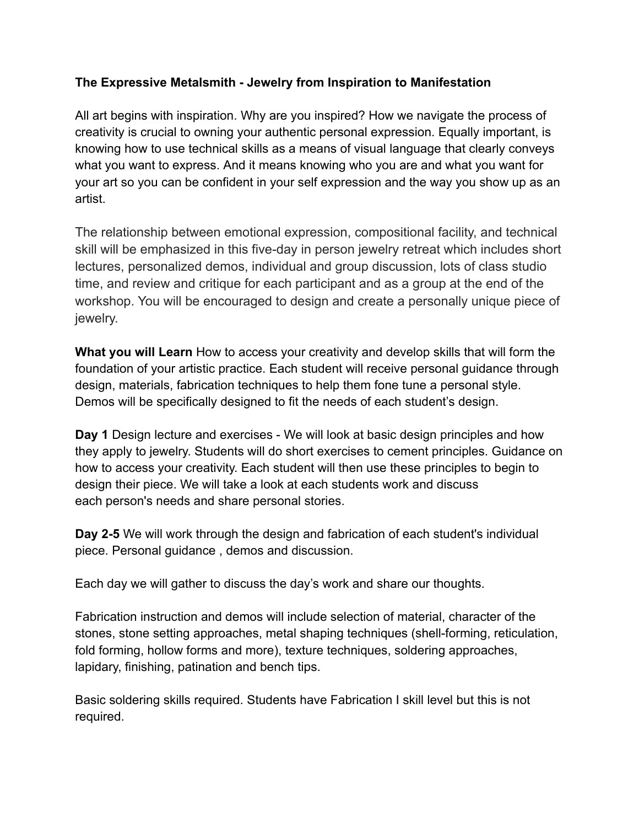# **The Expressive Metalsmith - Jewelry from Inspiration to Manifestation**

All art begins with inspiration. Why are you inspired? How we navigate the process of creativity is crucial to owning your authentic personal expression. Equally important, is knowing how to use technical skills as a means of visual language that clearly conveys what you want to express. And it means knowing who you are and what you want for your art so you can be confident in your self expression and the way you show up as an artist.

The relationship between emotional expression, compositional facility, and technical skill will be emphasized in this five-day in person jewelry retreat which includes short lectures, personalized demos, individual and group discussion, lots of class studio time, and review and critique for each participant and as a group at the end of the workshop. You will be encouraged to design and create a personally unique piece of jewelry.

**What you will Learn** How to access your creativity and develop skills that will form the foundation of your artistic practice. Each student will receive personal guidance through design, materials, fabrication techniques to help them fone tune a personal style. Demos will be specifically designed to fit the needs of each student's design.

**Day 1** Design lecture and exercises - We will look at basic design principles and how they apply to jewelry. Students will do short exercises to cement principles. Guidance on how to access your creativity. Each student will then use these principles to begin to design their piece. We will take a look at each students work and discuss each person's needs and share personal stories.

**Day 2-5** We will work through the design and fabrication of each student's individual piece. Personal guidance , demos and discussion.

Each day we will gather to discuss the day's work and share our thoughts.

Fabrication instruction and demos will include selection of material, character of the stones, stone setting approaches, metal shaping techniques (shell-forming, reticulation, fold forming, hollow forms and more), texture techniques, soldering approaches, lapidary, finishing, patination and bench tips.

Basic soldering skills required. Students have Fabrication I skill level but this is not required.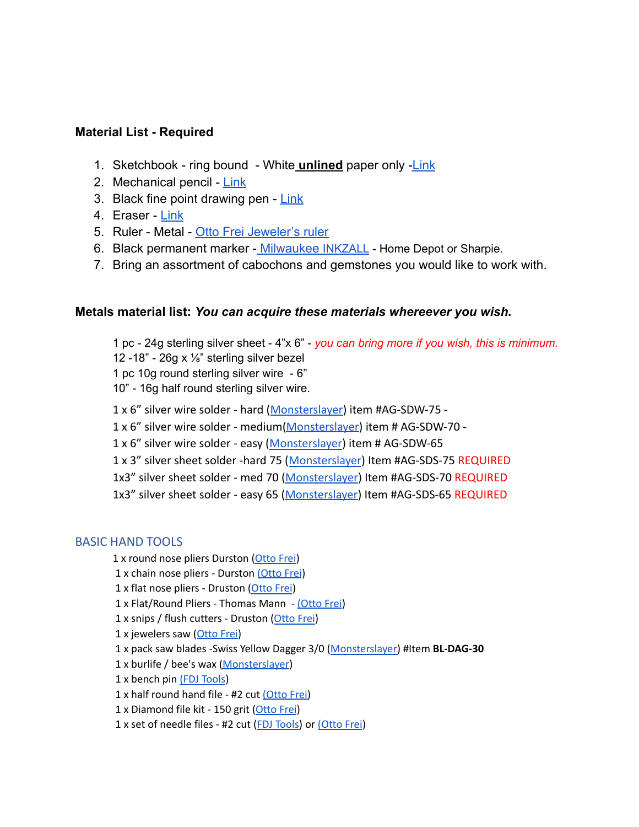## **Material List - Required**

- 1. Sketchbook ring bound White **unlined** paper only [-Link](https://bit.ly/359W2AJ)
- 2. Mechanical pencil [Link](https://www.michaels.com/zebra-m301-mechanical-pencil/M20004266.html?dwvar_M20004266_size=0.7%20mm&dwvar_M20004266_color=Black)
- 3. Black fine point drawing pen  $Link$
- 4. Eraser [Link](https://www.michaels.com/staedtler-mars-plastic-eraser/10192256.html)
- 5. Ruler Metal [Otto Frei Jeweler's ruler](https://www.ottofrei.com/Jewelers-Rule-Otto-Frei-Jewelry-Makers-Scale)
- 6. Black permanent marker [Milwaukee](https://www.homedepot.com/p/Milwaukee-Colored-Fine-Pt-Inkzall-Markers-with-Black-Fine-Point-Inkzall-Marker-8-Piece-48-22-3106-48-22-3104/319038911?source=shoppingads&locale=en-US) INKZALL Home Depot or Sharpie.
- 7. Bring an assortment of cabochons and gemstones you would like to work with.

### **Metals material list:** *You can acquire these materials whereever you wish.*

1 pc - 24g sterling silver sheet - 4"x 6" - *you can bring more if you wish, this is minimum.* 12 -18" - 26q x  $\frac{1}{8}$ " sterling silver bezel 1 pc 10g round sterling silver wire - 6" 10" - 16g half round sterling silver wire. 1 x 6" silver wire solder - hard ([Monsterslayer\)](https://www.monsterslayer.com/Metals/Solder.aspx) item #AG-SDW-75 - 1 x 6" silver wire solder - medium[\(Monsterslayer](https://www.monsterslayer.com/Metals/Solder.aspx)) item # AG-SDW-70 - 1 x 6" silver wire solder - easy [\(Monsterslayer\)](https://www.monsterslayer.com/Metals/Solder.aspx) item # AG-SDW-65 1 x 3" silver sheet solder -hard 75 ([Monsterslayer](https://www.monsterslayer.com/Metals/Solder.aspx)) Item #AG-SDS-75 REQUIRED 1x3" silver sheet solder - med 70 [\(Monsterslayer](https://www.monsterslayer.com/Metals/Solder.aspx)) Item #AG-SDS-70 REQUIRED 1x3" silver sheet solder - easy 65 [\(Monsterslayer\)](https://www.monsterslayer.com/Metals/Solder.aspx) Item #AG-SDS-65 REQUIRED

#### BASIC HAND TOOLS

- 1 x round nose pliers Durston [\(Otto](https://www.ottofrei.com/search?keywords=Durston%20pliers) Frei)
- 1 x chain nose pliers Durston [\(Otto](https://www.ottofrei.com/search?keywords=Durston%20pliers) Frei)
- 1 x flat nose pliers Druston ([Otto](https://www.ottofrei.com/search?keywords=Durston%20pliers) Frei)
- 1 x Flat/Round Pliers Thomas Mann [\(Otto](https://www.ottofrei.com/Thomas-Mann-studioFlux-Smart-Flat-Round-Plier-130mm?quantity=1&custcol_ava_item=146.TMK613&custcol_ava_incomeaccount=Tools%2C%20Books%2C%20Mach.&custcol_ava_taxcodemapping=PT118906-T&custcol_ava_pickup=F) Frei)
- 1 x snips / flush cutters Druston ([Otto](https://www.ottofrei.com/search?keywords=Durston%20pliers) Frei)
- 1 x jewelers saw ([Otto](https://www.ottofrei.com/Quick-Change-Lever-Style-Jewelers-Saw-Frame-3-75mm-Throat-Depth) Frei)
- 1 x pack saw blades -Swiss Yellow Dagger 3/0 ([Monsterslayer\)](https://www.monsterslayer.com/Pages/HandTools/HandTools.aspx) #Item **BL-DAG-30**
- 1 x burlife / bee's wax [\(Monsterslayer](https://www.monsterslayer.com/Pages/HandTools/HandTools.aspx))
- 1 x bench pin (FDJ [Tools](https://www.fdjtool.com/search/bench+pin/))
- 1 x half round hand file #2 cut [\(Otto](https://www.ottofrei.com/Glardon-Vallorbe-Half-Round-Slim-Precision-Files-LP1566?quantity=1&custcol17=15&custcol_ava_item=LP1566-6-2&custcol_ava_incomeaccount=Tools%2C%20Books%2C%20Mach.&custcol_ava_taxcodemapping=PT118906-T&custcol_ava_upccode=613548069691&custcol_ava_pickup=F&fragment=purchases&_ga=2.190488493.725166520.1646070087-1590872115.1644647293) Frei)
- 1 x Diamond file kit 150 grit [\(Otto](https://www.ottofrei.com/Economy-4-Diamond-File-Set-Of-10-10CM-150-Grit) Frei)
- 1 x set of needle files #2 cut (FDJ [Tools\)](https://www.fdjtool.com/search/Files/) or [\(Otto](https://www.ottofrei.com/Glardon-Vallorbe-Classic-Needle-File-Sets-of-6-5-1-2-14-cm-Medium) Frei)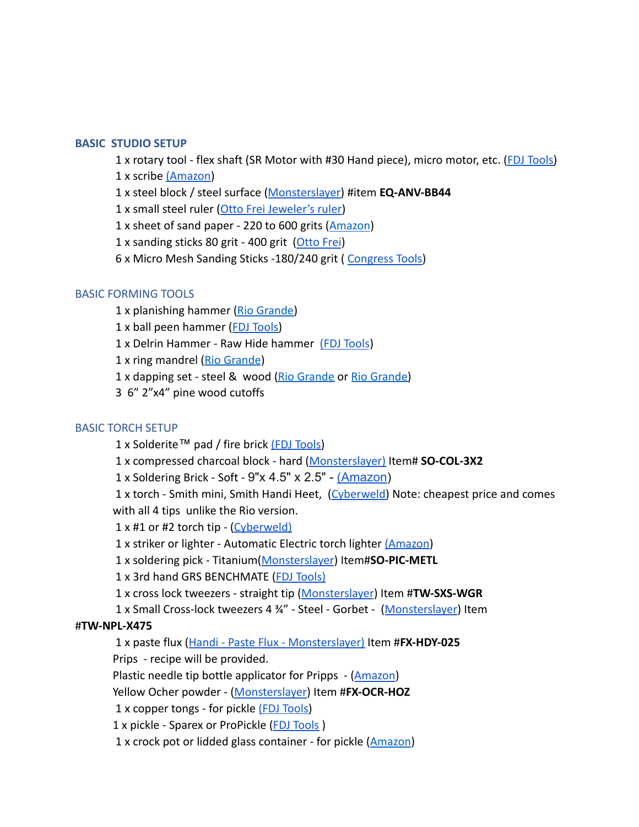#### **BASIC STUDIO SETUP**

1 x rotary tool - flex shaft (SR Motor with #30 Hand piece), micro motor, etc. [\(FDJ Tools\)](https://www.fdjtool.com/foredom-electric-mo2510-foredom-flexshaft-sr-motor.html)

- 1 x scribe [\(Amazon](https://www.amazon.com/IMT-Tungsten-Aluminium-Engraving-Replacement/dp/B06XYZVJJ6))
- 1 x steel block / steel surface ([Monsterslayer\)](https://www.monsterslayer.com/Pages/BenchToolEquip/BenchToolsEquip.aspx) #item **EQ-ANV-BB44**
- 1 x small steel ruler [\(Otto Frei Jeweler's ruler\)](https://www.ottofrei.com/Jewelers-Rule-Otto-Frei-Jewelry-Makers-Scale)
- 1 x sheet of sand paper 220 to 600 grits ([Amazon](https://www.amazon.com/Sandpaper-Assorted-Assortment-Automotive-Furniture/dp/B08LZNSNGS/ref=sr_1_4_sspa?dchild=1&keywords=sandpaper&qid=1607833598&sr=8-4-spons&psc=1&spLa=ZW5jcnlwdGVkUXVhbGlmaWVyPUEyM0I1RFAwSE9YNEk1JmVuY3J5cHRlZElkPUEwOTI4ODQyTVVaUDZYRDZMSVkzJmVuY3J5cHRlZEFkSWQ9QTAwNTE5MzRVTEpJWVVSS1NYTFEmd2lkZ2V0TmFtZT1zcF9hdGYmYWN0aW9uPWNsaWNrUmVkaXJlY3QmZG9Ob3RMb2dDbGljaz10cnVl))
- 1 x sanding sticks 80 grit 400 grit [\(Otto Frei](https://www.ottofrei.com/Emery-Stick-With-2-Emery-Strips))
- 6 x Micro Mesh Sanding Sticks -180/240 grit ( [Congress](https://www.congresstools.com/catalog/families/get-product-groups/?id=300&&categoryId=83) Tools)

#### BASIC FORMING TOOLS

- 1 x planishing hammer [\(Rio Grande\)](https://www.riogrande.com/product/fretz-mkr-401-maker-precision-planishing-hammer-1-5-oz/112986)
- 1 x ball peen hammer ([FDJ Tools\)](https://www.fdjtool.com/tools/hammers/ball-peen-hammers/)
- 1 x Delrin Hammer Raw Hide hammer [\(FDJ Tools](https://www.fdjtool.com/ha3952-delrin-dead-blow-mallet-with-flat-face-and.html))
- 1 x ring mandrel [\(Rio Grande](https://www.riogrande.com/product/durston-hardened-ring-mandrel-16/112575))
- 1 x dapping set steel & wood [\(Rio Grande](https://www.riogrande.com/product/steel-24-piece-dapping-punch-set-with-block/112929) or Rio [Grande\)](https://www.riogrande.com/product/hardwood-dapping-block-and-punch-set/112199)
- 3 6" 2"x4" pine wood cutoffs

#### BASIC TORCH SETUP

1 x Solderite™ pad / fire brick [\(FDJ Tools\)](https://www.fdjtool.com/54210s-solderite-soldering-block-6-x-6-x-3-4.html) 1 x compressed charcoal block - hard [\(Monsterslayer\)](https://www.monsterslayer.com/Pages/SolderTools/SolderTool.aspx) Item# **SO-COL-3X2** 1 x Soldering Brick - Soft - 9"x 4.5" x 2.5" - [\(Amazon](https://www.amazon.com/Insulating-Insulated-Fireplace-Accessories-Soldering/dp/B086J466CJ/ref=sr_1_2?crid=1O2YM9TX8NP7X&keywords=soft+soldering+brick&qid=1646071875&s=hi&sprefix=soft+soldering+brick%2Ctools%2C122&sr=1-2)) 1 x torch - Smith mini, Smith Handi Heet, ([Cyberweld\)](https://store.cyberweld.com/smachaou.html?utm_medium=shoppingengine&utm_source=googlebase&cvsfa=2530&cvsfe=2&cvsfhu=736d616368616f75&gclid=Cj0KCQjwoZTNBRCWARIsAOMZHmGo3ILLAysQ7X7qLBp9e2_U4EPbmKmko1gcCbTvzfN120kvAu_-5pwaAneTEALw_wcB) Note: cheapest price and comes with all 4 tips unlike the Rio version. 1 x #1 or #2 torch tip - [\(Cyberweld\)](https://store.cyberweld.com/smachaou.html?utm_medium=shoppingengine&utm_source=googlebase&cvsfa=2530&cvsfe=2&cvsfhu=736d616368616f75&gclid=Cj0KCQjwoZTNBRCWARIsAOMZHmGo3ILLAysQ7X7qLBp9e2_U4EPbmKmko1gcCbTvzfN120kvAu_-5pwaAneTEALw_wcB) 1 x striker or lighter - Automatic Electric torch lighter [\(Amazon\)](https://www.amazon.com/MidLove-Lighter-Automatic-Soldering-Portable/dp/B07PZS5QM8/ref=sr_1_2?crid=1TZVLS3ZCQ1OO&keywords=Torch+Lighter+Automatic+Ignitor+Light+Sparks+for+Soldering&qid=1646072940&sprefix=torch+lighter+automatic+ignitor+light+sparks+for+soldering%2Caps%2C103&sr=8-2) 1 x soldering pick - Titanium([Monsterslayer](https://www.monsterslayer.com/Pages/SolderTools/SolderTool.aspx)) Item#**SO-PIC-METL** 1 x 3rd hand GRS BENCHMATE [\(FDJ Tools\)](https://www.fdjtool.com/g04570-dual-third-hand-soldering-station-for-grs-b.html) 1 x cross lock tweezers - straight tip ([Monsterslayer](https://www.monsterslayer.com/Pages/SolderTools/SolderTool.aspx)) Item #**TW-SXS-WGR** 1 x Small Cross-lock tweezers 4 ¾" - Steel - Gorbet - ([Monsterslayer](https://www.monsterslayer.com/Pages/SolderTools/SolderTool.aspx)) Item #**TW-NPL-X475** 1 x paste flux ([Handi - Paste Flux - Monsterslayer\)](https://www.monsterslayer.com/Pages/SolderTools/SolderTool.aspx) Item #**FX-HDY-025** Prips - recipe will be provided.

Plastic needle tip bottle applicator for Pripps - ([Amazon\)](https://www.amazon.com/gp/product/B07M5NLBYT/ref=ppx_yo_dt_b_asin_title_o06_s00?ie=UTF8&psc=1)

Yellow Ocher powder - [\(Monsterslayer](https://www.monsterslayer.com/Pages/SolderTools/SolderTool.aspx)) Item #**FX-OCR-HOZ**

1 x copper tongs - for pickle [\(FDJ Tools\)](https://www.fdjtool.com/57052-copper-tongs-with-curved-tips.html)

1 x pickle - Sparex or ProPickle ([FDJ Tools](https://www.fdjtool.com/tools/pickling/) )

1 x crock pot or lidded glass container - for pickle ([Amazon](https://www.amazon.com/MST-250XS-Electric-Adjustable-Dishwasher-Stainless/dp/B008GS8R3K/ref=sr_1_4?dchild=1&keywords=small+crockpot&qid=1605047658&s=home-garden&sr=1-4))